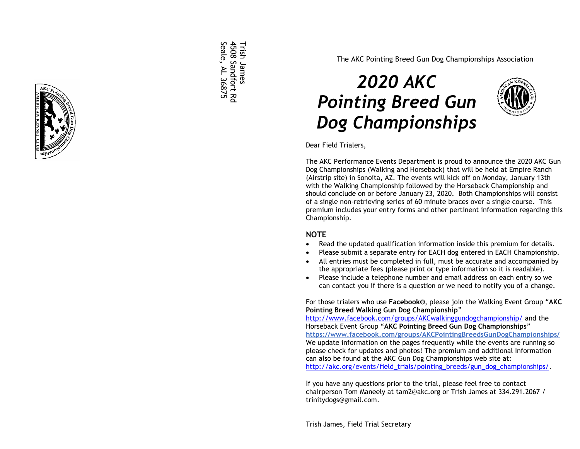

Trish James<br>4508 Sandfort Rd<br>Seale, AL 36875 4508 Sandfort Rd Trish JamesSeale, AL 36875

The AKC Pointing Breed Gun Dog Championships Association

# *2020 AKC Pointing Breed Gun Dog Championships*



Dear Field Trialers,

The AKC Performance Events Department is proud to announce the 2020 AKC Gun Dog Championships (Walking and Horseback) that will be held at Empire Ranch (Airstrip site) in Sonoita, AZ. The events will kick off on Monday, January 13th with the Walking Championship followed by the Horseback Championship and should conclude on or before January 23, 2020. Both Championships will consist of a single non-retrieving series of 60 minute braces over a single course. This premium includes your entry forms and other pertinent information regarding this Championship.

#### **NOTE**

- Read the updated qualification information inside this premium for details.
- Please submit a separate entry for EACH dog entered in EACH Championship.
- All entries must be completed in full, must be accurate and accompanied by the appropriate fees (please print or type information so it is readable).
- Please include a telephone number and email address on each entry so we can contact you if there is a question or we need to notify you of a change.

For those trialers who use **Facebook®**, please join the Walking Event Group "**AKC Pointing Breed Walking Gun Dog Championship**"

<http://www.facebook.com/groups/AKCwalkinggundogchampionship/> and the Horseback Event Group "**AKC Pointing Breed Gun Dog Championships**" **https://www.facebook.com/groups/AKCPointingBreedsGunDogChampionships/** We update information on the pages frequently while the events are running so please check for updates and photos! The premium and additional Information can also be found at the AKC Gun Dog Championships web site at: [http://akc.org/events/field\\_trials/pointing\\_breeds/gun\\_dog\\_championships/.](http://akc.org/events/field_trials/pointing_breeds/gun_dog_championships/)

If you have any questions prior to the trial, please feel free to contact chairperson Tom Maneely at tam2@akc.org or Trish James at 334.291.2067 / [trinitydogs@gmail.com.](mailto:trinitydogs@gmail.com)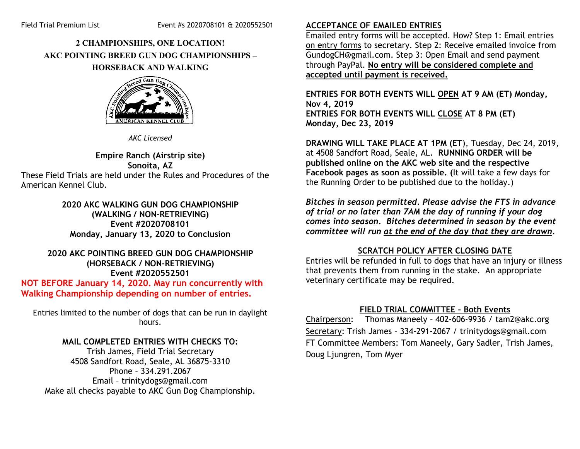# **2 CHAMPIONSHIPS, ONE LOCATION! AKC POINTING BREED GUN DOG CHAMPIONSHIPS – HORSEBACK AND WALKING**



*AKC Licensed*

**Empire Ranch (Airstrip site) Sonoita, AZ** These Field Trials are held under the Rules and Procedures of the American Kennel Club.

> **2020 AKC WALKING GUN DOG CHAMPIONSHIP (WALKING / NON-RETRIEVING) Event #2020708101 Monday, January 13, 2020 to Conclusion**

#### **2020 AKC POINTING BREED GUN DOG CHAMPIONSHIP (HORSEBACK / NON-RETRIEVING) Event #2020552501**

**NOT BEFORE January 14, 2020. May run concurrently with Walking Championship depending on number of entries.**

Entries limited to the number of dogs that can be run in daylight hours.

## **MAIL COMPLETED ENTRIES WITH CHECKS TO:**

Trish James, Field Trial Secretary 4508 Sandfort Road, Seale, AL 36875-3310 Phone – 334.291.2067 Email – trinitydogs@gmail.com Make all checks payable to AKC Gun Dog Championship.

## **ACCEPTANCE OF EMAILED ENTRIES**

Emailed entry forms will be accepted. How? Step 1: Email entries on entry forms to secretary. Step 2: Receive emailed invoice from GundogCH@gmail.com. Step 3: Open Email and send payment through PayPal. **No entry will be considered complete and accepted until payment is received.**

**ENTRIES FOR BOTH EVENTS WILL OPEN AT 9 AM (ET) Monday, Nov 4, 2019 ENTRIES FOR BOTH EVENTS WILL CLOSE AT 8 PM (ET) Monday, Dec 23, 2019**

**DRAWING WILL TAKE PLACE AT 1PM (ET**), Tuesday, Dec 24, 2019, at 4508 Sandfort Road, Seale, AL. **RUNNING ORDER will be published online on the AKC web site and the respective Facebook pages as soon as possible. (**It will take a few days for the Running Order to be published due to the holiday.)

*Bitches in season permitted. Please advise the FTS in advance of trial or no later than 7AM the day of running if your dog comes into season. Bitches determined in season by the event committee will run at the end of the day that they are drawn.*

#### **SCRATCH POLICY AFTER CLOSING DATE**

Entries will be refunded in full to dogs that have an injury or illness that prevents them from running in the stake. An appropriate veterinary certificate may be required.

## **FIELD TRIAL COMMITTEE – Both Events**

Chairperson: Thomas Maneely – 402-606-9936 / tam2@akc.org Secretary: Trish James – 334-291-2067 / trinitydogs@gmail.com FT Committee Members: Tom Maneely, Gary Sadler, Trish James, Doug Ljungren, Tom Myer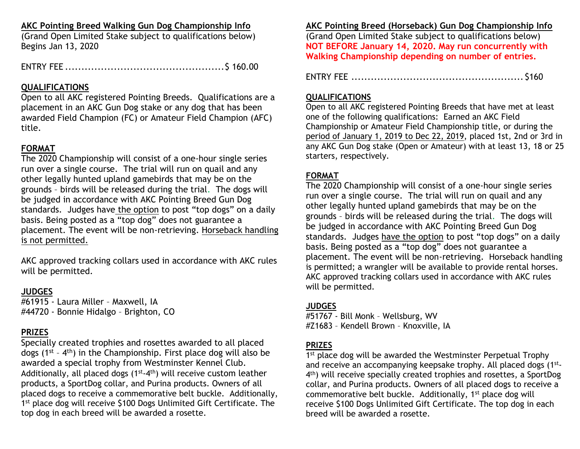# **AKC Pointing Breed Walking Gun Dog Championship Info**

(Grand Open Limited Stake subject to qualifications below) Begins Jan 13, 2020

ENTRY FEE .................................................\$ 160.00

# **QUALIFICATIONS**

Open to all AKC registered Pointing Breeds. Qualifications are a placement in an AKC Gun Dog stake or any dog that has been awarded Field Champion (FC) or Amateur Field Champion (AFC) title.

# **FORMAT**

The 2020 Championship will consist of a one-hour single series run over a single course. The trial will run on quail and any other legally hunted upland gamebirds that may be on the grounds – birds will be released during the trial. The dogs will be judged in accordance with AKC Pointing Breed Gun Dog standards. Judges have the option to post "top dogs" on a daily basis. Being posted as a "top dog" does not guarantee a placement. The event will be non-retrieving. Horseback handling is not permitted.

AKC approved tracking collars used in accordance with AKC rules will be permitted.

# **JUDGES**

#61915 - Laura Miller – Maxwell, IA #44720 - Bonnie Hidalgo – Brighton, CO

# **PRIZES**

Specially created trophies and rosettes awarded to all placed dogs  $(1^{st} - 4^{th})$  in the Championship. First place dog will also be awarded a special trophy from Westminster Kennel Club. Additionally, all placed dogs (1<sup>st</sup>-4<sup>th</sup>) will receive custom leather products, a SportDog collar, and Purina products. Owners of all placed dogs to receive a commemorative belt buckle. Additionally, 1<sup>st</sup> place dog will receive \$100 Dogs Unlimited Gift Certificate. The top dog in each breed will be awarded a rosette.

**AKC Pointing Breed (Horseback) Gun Dog Championship Info** (Grand Open Limited Stake subject to qualifications below) **NOT BEFORE January 14, 2020. May run concurrently with Walking Championship depending on number of entries.**

ENTRY FEE ..................................................... \$160

# **QUALIFICATIONS**

Open to all AKC registered Pointing Breeds that have met at least one of the following qualifications: Earned an AKC Field Championship or Amateur Field Championship title, or during the period of January 1, 2019 to Dec 22, 2019, placed 1st, 2nd or 3rd in any AKC Gun Dog stake (Open or Amateur) with at least 13, 18 or 25 starters, respectively.

## **FORMAT**

The 2020 Championship will consist of a one-hour single series run over a single course. The trial will run on quail and any other legally hunted upland gamebirds that may be on the grounds – birds will be released during the trial. The dogs will be judged in accordance with AKC Pointing Breed Gun Dog standards. Judges have the option to post "top dogs" on a daily basis. Being posted as a "top dog" does not guarantee a placement. The event will be non-retrieving. Horseback handling is permitted; a wrangler will be available to provide rental horses. AKC approved tracking collars used in accordance with AKC rules will be permitted.

## **JUDGES**

#51767 - Bill Monk – Wellsburg, WV #Z1683 – Kendell Brown – Knoxville, IA

## **PRIZES**

1<sup>st</sup> place dog will be awarded the Westminster Perpetual Trophy and receive an accompanying keepsake trophy. All placed dogs (1st-4 th) will receive specially created trophies and rosettes, a SportDog collar, and Purina products. Owners of all placed dogs to receive a commemorative belt buckle. Additionally, 1st place dog will receive \$100 Dogs Unlimited Gift Certificate. The top dog in each breed will be awarded a rosette.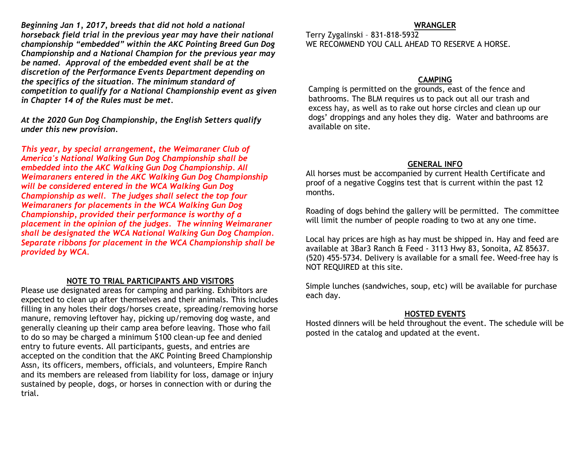*Beginning Jan 1, 2017, breeds that did not hold a national horseback field trial in the previous year may have their national championship "embedded" within the AKC Pointing Breed Gun Dog Championship and a National Champion for the previous year may be named. Approval of the embedded event shall be at the discretion of the Performance Events Department depending on the specifics of the situation. The minimum standard of competition to qualify for a National Championship event as given in Chapter 14 of the Rules must be met.*

*At the 2020 Gun Dog Championship, the English Setters qualify under this new provision.*

*This year, by special arrangement, the Weimaraner Club of America's National Walking Gun Dog Championship shall be embedded into the AKC Walking Gun Dog Championship. All Weimaraners entered in the AKC Walking Gun Dog Championship will be considered entered in the WCA Walking Gun Dog Championship as well. The judges shall select the top four Weimaraners for placements in the WCA Walking Gun Dog Championship, provided their performance is worthy of a placement in the opinion of the judges. The winning Weimaraner shall be designated the WCA National Walking Gun Dog Champion. Separate ribbons for placement in the WCA Championship shall be provided by WCA.*

#### **NOTE TO TRIAL PARTICIPANTS AND VISITORS**

Please use designated areas for camping and parking. Exhibitors are expected to clean up after themselves and their animals. This includes filling in any holes their dogs/horses create, spreading/removing horse manure, removing leftover hay, picking up/removing dog waste, and generally cleaning up their camp area before leaving. Those who fail to do so may be charged a minimum \$100 clean-up fee and denied entry to future events. All participants, guests, and entries are accepted on the condition that the AKC Pointing Breed Championship Assn, its officers, members, officials, and volunteers, Empire Ranch and its members are released from liability for loss, damage or injury sustained by people, dogs, or horses in connection with or during the trial.

#### **WRANGLER**

Terry Zygalinski – 831-818-5932 WE RECOMMEND YOU CALL AHEAD TO RESERVE A HORSE.

#### **CAMPING**

Camping is permitted on the grounds, east of the fence and bathrooms. The BLM requires us to pack out all our trash and excess hay, as well as to rake out horse circles and clean up our dogs' droppings and any holes they dig. Water and bathrooms are available on site.

#### **GENERAL INFO**

All horses must be accompanied by current Health Certificate and proof of a negative Coggins test that is current within the past 12 months.

Roading of dogs behind the gallery will be permitted. The committee will limit the number of people roading to two at any one time.

Local hay prices are high as hay must be shipped in. Hay and feed are available at 3Bar3 Ranch & Feed - 3113 Hwy 83, Sonoita, AZ 85637. (520) 455-5734. Delivery is available for a small fee. Weed-free hay is NOT REQUIRED at this site.

Simple lunches (sandwiches, soup, etc) will be available for purchase each day.

## **HOSTED EVENTS**

Hosted dinners will be held throughout the event. The schedule will be posted in the catalog and updated at the event.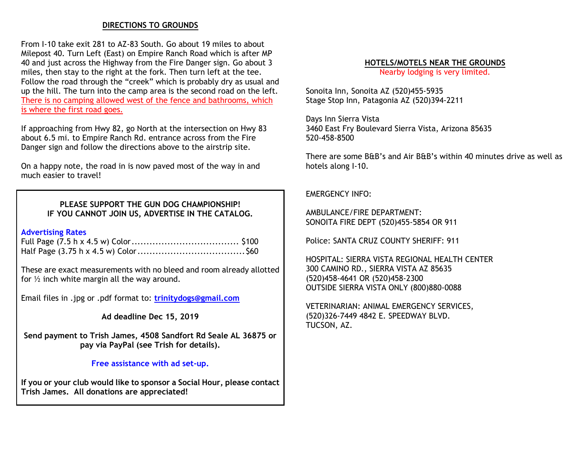## **DIRECTIONS TO GROUNDS**

From I-10 take exit 281 to AZ-83 South. Go about 19 miles to about Milepost 40. Turn Left (East) on Empire Ranch Road which is after MP 40 and just across the Highway from the Fire Danger sign. Go about 3 miles, then stay to the right at the fork. Then turn left at the tee. Follow the road through the "creek" which is probably dry as usual and up the hill. The turn into the camp area is the second road on the left. There is no camping allowed west of the fence and bathrooms, which is where the first road goes.

If approaching from Hwy 82, go North at the intersection on Hwy 83 about 6.5 mi. to Empire Ranch Rd. entrance across from the Fire Danger sign and follow the directions above to the airstrip site.

On a happy note, the road in is now paved most of the way in and much easier to travel!

### **PLEASE SUPPORT THE GUN DOG CHAMPIONSHIP! IF YOU CANNOT JOIN US, ADVERTISE IN THE CATALOG.**

#### **Advertising Rates**

These are exact measurements with no bleed and room already allotted for  $\frac{1}{2}$  inch white margin all the way around.

Email files in .jpg or .pdf format to: **[trinitydogs@gmail.com](mailto:trinitydogs@gmail.com)**

**Ad deadline Dec 15, 2019**

**Send payment to Trish James, 4508 Sandfort Rd Seale AL 36875 or pay via PayPal (see Trish for details).**

#### **Free assistance with ad set-up.**

**If you or your club would like to sponsor a Social Hour, please contact Trish James. All donations are appreciated!**

# **HOTELS/MOTELS NEAR THE GROUNDS**

Nearby lodging is very limited.

Sonoita Inn, Sonoita AZ (520)455-5935 Stage Stop Inn, Patagonia AZ (520)394-2211

Days Inn Sierra Vista 3460 East Fry Boulevard Sierra Vista, Arizona 85635 520-458-8500

There are some B&B's and Air B&B's within 40 minutes drive as well as hotels along I-10.

EMERGENCY INFO:

AMBULANCE/FIRE DEPARTMENT: SONOITA FIRE DEPT (520)455-5854 OR 911

Police: SANTA CRUZ COUNTY SHERIFF: 911

HOSPITAL: SIERRA VISTA REGIONAL HEALTH CENTER 300 CAMINO RD., SIERRA VISTA AZ 85635 (520)458-4641 OR (520)458-2300 OUTSIDE SIERRA VISTA ONLY (800)880-0088

VETERINARIAN: ANIMAL EMERGENCY SERVICES, (520)326-7449 4842 E. SPEEDWAY BLVD. TUCSON, AZ.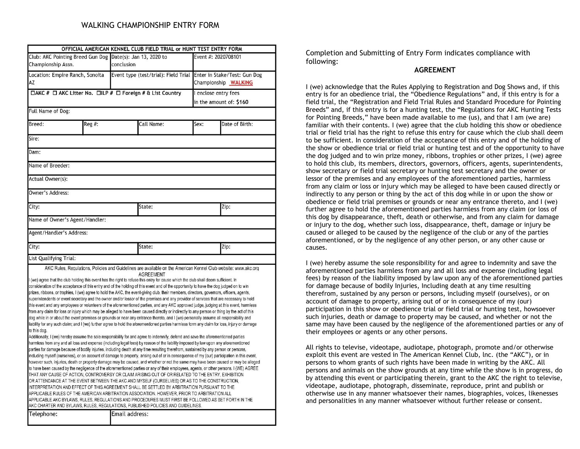|                                                           |            |                | OFFICIAL AMERICAN KENNEL CLUB FIELD TRIAL or HUNT TEST ENTRY FORM                                                                                                                                                                                                                                                                                                                                                                                                                                                                                                                                                                                                                                                                                                                                                                                                                                                                                                                                                                                                                                                                                     |                      |                              |
|-----------------------------------------------------------|------------|----------------|-------------------------------------------------------------------------------------------------------------------------------------------------------------------------------------------------------------------------------------------------------------------------------------------------------------------------------------------------------------------------------------------------------------------------------------------------------------------------------------------------------------------------------------------------------------------------------------------------------------------------------------------------------------------------------------------------------------------------------------------------------------------------------------------------------------------------------------------------------------------------------------------------------------------------------------------------------------------------------------------------------------------------------------------------------------------------------------------------------------------------------------------------------|----------------------|------------------------------|
| Club: AKC Pointing Breed Gun Dog Date(s): Jan 13, 2020 to |            |                | Event #: 2020708101                                                                                                                                                                                                                                                                                                                                                                                                                                                                                                                                                                                                                                                                                                                                                                                                                                                                                                                                                                                                                                                                                                                                   |                      |                              |
| Championship Assn.                                        | conclusion |                |                                                                                                                                                                                                                                                                                                                                                                                                                                                                                                                                                                                                                                                                                                                                                                                                                                                                                                                                                                                                                                                                                                                                                       |                      |                              |
| Location: Empire Ranch, Sonoita                           |            |                | Event type (test/trial): Field Trial                                                                                                                                                                                                                                                                                                                                                                                                                                                                                                                                                                                                                                                                                                                                                                                                                                                                                                                                                                                                                                                                                                                  |                      | Enter in Stake/Test: Gun Dog |
| AΖ                                                        |            |                |                                                                                                                                                                                                                                                                                                                                                                                                                                                                                                                                                                                                                                                                                                                                                                                                                                                                                                                                                                                                                                                                                                                                                       | Championship WALKING |                              |
| □AKC # □ AKC Litter No. □ILP # □ Foreign # & List Country |            |                |                                                                                                                                                                                                                                                                                                                                                                                                                                                                                                                                                                                                                                                                                                                                                                                                                                                                                                                                                                                                                                                                                                                                                       | I enclose entry fees |                              |
|                                                           |            |                |                                                                                                                                                                                                                                                                                                                                                                                                                                                                                                                                                                                                                                                                                                                                                                                                                                                                                                                                                                                                                                                                                                                                                       |                      | in the amount of: \$160      |
| Full Name of Dog:                                         |            |                |                                                                                                                                                                                                                                                                                                                                                                                                                                                                                                                                                                                                                                                                                                                                                                                                                                                                                                                                                                                                                                                                                                                                                       |                      |                              |
|                                                           |            |                |                                                                                                                                                                                                                                                                                                                                                                                                                                                                                                                                                                                                                                                                                                                                                                                                                                                                                                                                                                                                                                                                                                                                                       |                      |                              |
| Breed:                                                    | $Reg#$ :   |                | Call Name:                                                                                                                                                                                                                                                                                                                                                                                                                                                                                                                                                                                                                                                                                                                                                                                                                                                                                                                                                                                                                                                                                                                                            | Sex:                 | Date of Birth:               |
| Sire:                                                     |            |                |                                                                                                                                                                                                                                                                                                                                                                                                                                                                                                                                                                                                                                                                                                                                                                                                                                                                                                                                                                                                                                                                                                                                                       |                      |                              |
| Dam:                                                      |            |                |                                                                                                                                                                                                                                                                                                                                                                                                                                                                                                                                                                                                                                                                                                                                                                                                                                                                                                                                                                                                                                                                                                                                                       |                      |                              |
| Name of Breeder:                                          |            |                |                                                                                                                                                                                                                                                                                                                                                                                                                                                                                                                                                                                                                                                                                                                                                                                                                                                                                                                                                                                                                                                                                                                                                       |                      |                              |
| Actual Owner(s):                                          |            |                |                                                                                                                                                                                                                                                                                                                                                                                                                                                                                                                                                                                                                                                                                                                                                                                                                                                                                                                                                                                                                                                                                                                                                       |                      |                              |
| Owner's Address:                                          |            |                |                                                                                                                                                                                                                                                                                                                                                                                                                                                                                                                                                                                                                                                                                                                                                                                                                                                                                                                                                                                                                                                                                                                                                       |                      |                              |
| City:                                                     |            |                | State:                                                                                                                                                                                                                                                                                                                                                                                                                                                                                                                                                                                                                                                                                                                                                                                                                                                                                                                                                                                                                                                                                                                                                |                      | Zip:                         |
| Name of Owner's Agent/Handler:                            |            |                |                                                                                                                                                                                                                                                                                                                                                                                                                                                                                                                                                                                                                                                                                                                                                                                                                                                                                                                                                                                                                                                                                                                                                       |                      |                              |
| Agent/Handler's Address:                                  |            |                |                                                                                                                                                                                                                                                                                                                                                                                                                                                                                                                                                                                                                                                                                                                                                                                                                                                                                                                                                                                                                                                                                                                                                       |                      |                              |
| City:                                                     |            |                | State:                                                                                                                                                                                                                                                                                                                                                                                                                                                                                                                                                                                                                                                                                                                                                                                                                                                                                                                                                                                                                                                                                                                                                |                      | Zip:                         |
| List Qualifying Trial:                                    |            |                |                                                                                                                                                                                                                                                                                                                                                                                                                                                                                                                                                                                                                                                                                                                                                                                                                                                                                                                                                                                                                                                                                                                                                       |                      |                              |
|                                                           |            |                | AKC Rules, Regulations, Policies and Guidelines are available on the American Kennel Club website: www.akc.org<br><b>AGREEMENT</b>                                                                                                                                                                                                                                                                                                                                                                                                                                                                                                                                                                                                                                                                                                                                                                                                                                                                                                                                                                                                                    |                      |                              |
| to this dog.                                              |            |                | I (we) agree that the club holding this event has the right to refuse this entry for cause which the club shall deem sufficient. In<br>consideration of the acceptance of this entry and of the holding of this event and of the opportunity to have the dog judged on to win<br>prizes, ribbons, or trophies, I (we) agree to hold the AKC, the event-giving club, their members, directors, governors, officers, agents,<br>superintendents or event secretary and the owner and/or lessor of the premises and any provider of services that are necessary to hold<br>this event and any employees or volunteers of the aforementioned parties, and any AKC approved judge, judging at this event, harmless<br>from any claim for loss or injury which may be alleged to have been caused directly or indirectly to any person or thing by the act of this<br>dog while in or about the event premises or grounds or near any entrance thereto, and I (we) personally assume all responsibility and<br>liability for any such claim; and I (we) further agree to hold the aforementioned parties harmless form any claim for loss, injury or damage |                      |                              |
|                                                           |            |                | Additionally, I (we) hereby assume the sole responsibility for and agree to indemnify, defend and save the aforementioned parties                                                                                                                                                                                                                                                                                                                                                                                                                                                                                                                                                                                                                                                                                                                                                                                                                                                                                                                                                                                                                     |                      |                              |
|                                                           |            |                | harmless from any and all loss and expense (including legal fees) by reason of the liability imposed by law upon any aforementioned                                                                                                                                                                                                                                                                                                                                                                                                                                                                                                                                                                                                                                                                                                                                                                                                                                                                                                                                                                                                                   |                      |                              |
|                                                           |            |                | parties for damage because of bodily injuries, including death at any time resulting therefrom, sustained by any person or persons,<br>including myself (ourselves), or on account of damage to property, arising out of or in consequence of my (our) participation in this event,                                                                                                                                                                                                                                                                                                                                                                                                                                                                                                                                                                                                                                                                                                                                                                                                                                                                   |                      |                              |
|                                                           |            |                | however such, injuries, death or property damage may be caused, and whether or not the same may have been caused or may be alleged                                                                                                                                                                                                                                                                                                                                                                                                                                                                                                                                                                                                                                                                                                                                                                                                                                                                                                                                                                                                                    |                      |                              |
|                                                           |            |                | to have been caused by the negligence of the aforementioned parties or any of their employees, agents, or other persons. I (WE) AGREE                                                                                                                                                                                                                                                                                                                                                                                                                                                                                                                                                                                                                                                                                                                                                                                                                                                                                                                                                                                                                 |                      |                              |
|                                                           |            |                | THAT ANY CAUSE OF ACTION, CONTROVERSY OR CLAIM ARISING OUT OF OR RELATED TO THE ENTRY, EXHIBITION                                                                                                                                                                                                                                                                                                                                                                                                                                                                                                                                                                                                                                                                                                                                                                                                                                                                                                                                                                                                                                                     |                      |                              |
|                                                           |            |                | OR ATTENDANCE AT THE EVENT BETWEEN THE AKC AND MYSELF (OURSELVES) OR AS TO THE CONSTRUCTION,                                                                                                                                                                                                                                                                                                                                                                                                                                                                                                                                                                                                                                                                                                                                                                                                                                                                                                                                                                                                                                                          |                      |                              |
|                                                           |            |                | INTERPRETATION AND EFFECT OF THIS AGREEMENT SHALL BE SETTLED BY ARBITRATION PURSUANT TO THE                                                                                                                                                                                                                                                                                                                                                                                                                                                                                                                                                                                                                                                                                                                                                                                                                                                                                                                                                                                                                                                           |                      |                              |
|                                                           |            |                | APPLICABLE RULES OF THE AMERICAN ARBITRATION ASSOCIATION. HOWEVER, PRIOR TO ARBITRATION ALL<br>APPLICABLE AKC BYLAWS, RULES, REGULATIONS AND PROCEDURES MUST FIRST BE FOLLOWED AS SET FORTH IN THE                                                                                                                                                                                                                                                                                                                                                                                                                                                                                                                                                                                                                                                                                                                                                                                                                                                                                                                                                    |                      |                              |
|                                                           |            |                | AKC CHARTER AND BYLAWS, RULES, REGULATIONS, PUBLISHED POLICIES AND GUIDELINES.                                                                                                                                                                                                                                                                                                                                                                                                                                                                                                                                                                                                                                                                                                                                                                                                                                                                                                                                                                                                                                                                        |                      |                              |
| Telenhone <sup>.</sup>                                    |            | Email address: |                                                                                                                                                                                                                                                                                                                                                                                                                                                                                                                                                                                                                                                                                                                                                                                                                                                                                                                                                                                                                                                                                                                                                       |                      |                              |

Completion and Submitting of Entry Form indicates compliance with following:

#### **AGREEMENT**

I (we) acknowledge that the Rules Applying to Registration and Dog Shows and, if this entry is for an obedience trial, the "Obedience Regulations" and, if this entry is for a field trial, the "Registration and Field Trial Rules and Standard Procedure for Pointing Breeds" and, if this entry is for a hunting test, the "Regulations for AKC Hunting Tests for Pointing Breeds," have been made available to me (us), and that I am (we are) familiar with their contents. I (we) agree that the club holding this show or obedience trial or field trial has the right to refuse this entry for cause which the club shall deem to be sufficient. In consideration of the acceptance of this entry and of the holding of the show or obedience trial or field trial or hunting test and of the opportunity to have the dog judged and to win prize money, ribbons, trophies or other prizes, I (we) agree to hold this club, its members, directors, governors, officers, agents, superintendents, show secretary or field trial secretary or hunting test secretary and the owner or lessor of the premises and any employees of the aforementioned parties, harmless from any claim or loss or injury which may be alleged to have been caused directly or indirectly to any person or thing by the act of this dog while in or upon the show or obedience or field trial premises or grounds or near any entrance thereto, and I (we) further agree to hold the aforementioned parties harmless from any claim (or loss of this dog by disappearance, theft, death or otherwise, and from any claim for damage or injury to the dog, whether such loss, disappearance, theft, damage or injury be caused or alleged to be caused by the negligence of the club or any of the parties aforementioned, or by the negligence of any other person, or any other cause or causes.

I (we) hereby assume the sole responsibility for and agree to indemnity and save the aforementioned parties harmless from any and all loss and expense (including legal fees) by reason of the liability imposed by law upon any of the aforementioned parties for damage because of bodily Injuries, Including death at any time resulting therefrom, sustained by any person or persons, including myself (ourselves), or on account of damage to property, arising out of or in consequence of my (our) participation in this show or obedience trial or field trial or hunting test, howsoever such injuries, death or damage to property may be caused, and whether or not the same may have been caused by the negligence of the aforementioned parties or any of their employees or agents or any other persons.

All rights to televise, videotape, audiotape, photograph, promote and/or otherwise exploit this event are vested in The American Kennel Club, lnc. (the "AKC"), or in persons to whom grants of such rights have been made in writing by the AKC. All persons and animals on the show grounds at any time while the show is in progress, do by attending this event or participating therein, grant to the AKC the right to televise, videotape, audiotape, photograph, disseminate, reproduce, print and publish or otherwise use in any manner whatsoever their names, biographies, voices, likenesses and personalities in any manner whatsoever without further release or consent.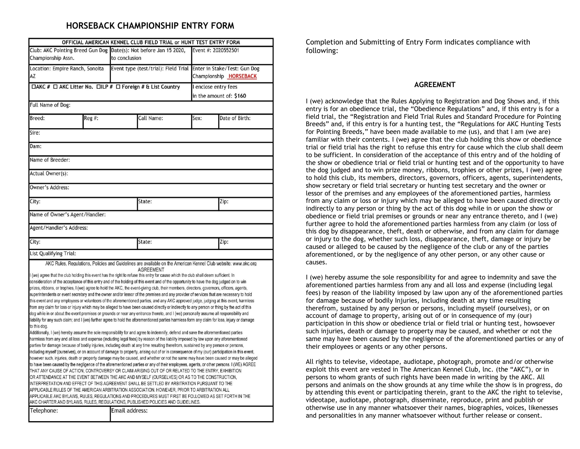## **HORSEBACK CHAMPIONSHIP ENTRY FORM**

|                                                                                         | OFFICIAL AMERICAN KENNEL CLUB FIELD TRIAL or HUNT TEST ENTRY FORM                                                                                                                                  |                                                        |                      |
|-----------------------------------------------------------------------------------------|----------------------------------------------------------------------------------------------------------------------------------------------------------------------------------------------------|--------------------------------------------------------|----------------------|
| Club: AKC Pointing Breed Gun Dog Date(s): Not before Jan 15 2020,<br>Championship Assn. | to conclusion                                                                                                                                                                                      | Event #: 2020552501                                    |                      |
| Location: Empire Ranch, Sonoita<br>AZ                                                   | Event type (test/trial): Field Trial                                                                                                                                                               | Enter in Stake/Test: Gun Dog<br>Championship HORSEBACK |                      |
| □AKC # □ AKC Litter No. □ILP # □ Foreign # & List Country                               |                                                                                                                                                                                                    |                                                        | I enclose entry fees |
|                                                                                         |                                                                                                                                                                                                    | in the amount of: \$160                                |                      |
| Full Name of Dog:                                                                       |                                                                                                                                                                                                    |                                                        |                      |
|                                                                                         |                                                                                                                                                                                                    |                                                        |                      |
| $Reg#$ :<br>Breed:                                                                      | Call Name:                                                                                                                                                                                         | Sex:                                                   | Date of Birth:       |
| Sire:                                                                                   |                                                                                                                                                                                                    |                                                        |                      |
| Dam:                                                                                    |                                                                                                                                                                                                    |                                                        |                      |
| Name of Breeder:                                                                        |                                                                                                                                                                                                    |                                                        |                      |
| Actual Owner(s):                                                                        |                                                                                                                                                                                                    |                                                        |                      |
| Owner's Address:                                                                        |                                                                                                                                                                                                    |                                                        |                      |
| City:                                                                                   | State:                                                                                                                                                                                             |                                                        |                      |
| Name of Owner's Agent/Handler:                                                          |                                                                                                                                                                                                    |                                                        |                      |
|                                                                                         |                                                                                                                                                                                                    |                                                        |                      |
| Agent/Handler's Address:                                                                |                                                                                                                                                                                                    |                                                        |                      |
| City:                                                                                   | State:                                                                                                                                                                                             |                                                        | Zip:                 |
| List Qualifying Trial:                                                                  |                                                                                                                                                                                                    |                                                        |                      |
|                                                                                         | AKC Rules, Regulations, Policies and Guidelines are available on the American Kennel Club website: www.akc.org                                                                                     |                                                        |                      |
|                                                                                         | <b>AGREEMENT</b><br>(we) agree that the club holding this event has the right to refuse this entry for cause which the club shall deem sufficient. In                                              |                                                        |                      |
|                                                                                         | consideration of the acceptance of this entry and of the holding of this event and of the opportunity to have the dog judged on to win                                                             |                                                        |                      |
|                                                                                         | prizes, ribbons, or trophies, I (we) agree to hold the AKC, the event-giving club, their members, directors, governors, officers, agents,                                                          |                                                        |                      |
|                                                                                         | superintendents or event secretary and the owner and/or lessor of the premises and any provider of services that are necessary to hold                                                             |                                                        |                      |
|                                                                                         | this event and any employees or volunteers of the aforementioned parties, and any AKC approved judge, judging at this event, harmless                                                              |                                                        |                      |
|                                                                                         | from any claim for loss or injury which may be alleged to have been caused directly or indirectly to any person or thing by the act of this                                                        |                                                        |                      |
|                                                                                         | dog while in or about the event premises or grounds or near any entrance thereto, and I (we) personally assume all responsibility and                                                              |                                                        |                      |
|                                                                                         | liability for any such claim; and I (we) further agree to hold the aforementioned parties harmless form any claim for loss, injury or damage                                                       |                                                        |                      |
| to this dog.                                                                            | Additionally, I (we) hereby assume the sole responsibility for and agree to indemnify, defend and save the aforementioned parties                                                                  |                                                        |                      |
|                                                                                         | harmless from any and all loss and expense (including legal fees) by reason of the liability imposed by law upon any aforementioned                                                                |                                                        |                      |
|                                                                                         | parties for damage because of bodily injuries, including death at any time resulting therefrom, sustained by any person or persons,                                                                |                                                        |                      |
|                                                                                         | including myself (ourselves), or on account of damage to property, arising out of or in consequence of my (our) participation in this event,                                                       |                                                        |                      |
|                                                                                         | however such, injuries, death or property damage may be caused, and whether or not the same may have been caused or may be alleged                                                                 |                                                        |                      |
|                                                                                         | to have been caused by the negligence of the aforementioned parties or any of their employees, agents, or other persons. I (WE) AGREE                                                              |                                                        |                      |
|                                                                                         | THAT ANY CAUSE OF ACTION, CONTROVERSY OR CLAIM ARISING OUT OF OR RELATED TO THE ENTRY, EXHIBITION                                                                                                  |                                                        |                      |
|                                                                                         | OR ATTENDANCE AT THE EVENT BETWEEN THE AKC AND MYSELF (OURSELVES) OR AS TO THE CONSTRUCTION,                                                                                                       |                                                        |                      |
|                                                                                         | INTERPRETATION AND EFFECT OF THIS AGREEMENT SHALL BE SETTLED BY ARBITRATION PURSUANT TO THE                                                                                                        |                                                        |                      |
|                                                                                         | APPLICABLE RULES OF THE AMERICAN ARBITRATION ASSOCIATION. HOWEVER, PRIOR TO ARBITRATION ALL<br>APPLICABLE AKC BYLAWS, RULES, REGULATIONS AND PROCEDURES MUST FIRST BE FOLLOWED AS SET FORTH IN THE |                                                        |                      |
|                                                                                         | AKC CHARTER AND BYLAWS. RULES, REGULATIONS, PUBLISHED POLICIES AND GUIDELINES.                                                                                                                     |                                                        |                      |

Telephone: Email address: Completion and Submitting of Entry Form indicates compliance with following:

#### **AGREEMENT**

I (we) acknowledge that the Rules Applying to Registration and Dog Shows and, if this entry is for an obedience trial, the "Obedience Regulations" and, if this entry is for a field trial, the "Registration and Field Trial Rules and Standard Procedure for Pointing Breeds" and, if this entry is for a hunting test, the "Regulations for AKC Hunting Tests for Pointing Breeds," have been made available to me (us), and that I am (we are) familiar with their contents. I (we) agree that the club holding this show or obedience trial or field trial has the right to refuse this entry for cause which the club shall deem to be sufficient. In consideration of the acceptance of this entry and of the holding of the show or obedience trial or field trial or hunting test and of the opportunity to have the dog judged and to win prize money, ribbons, trophies or other prizes, I (we) agree to hold this club, its members, directors, governors, officers, agents, superintendents, show secretary or field trial secretary or hunting test secretary and the owner or lessor of the premises and any employees of the aforementioned parties, harmless from any claim or loss or injury which may be alleged to have been caused directly or indirectly to any person or thing by the act of this dog while in or upon the show or obedience or field trial premises or grounds or near any entrance thereto, and I (we) further agree to hold the aforementioned parties harmless from any claim (or loss of this dog by disappearance, theft, death or otherwise, and from any claim for damage or injury to the dog, whether such loss, disappearance, theft, damage or injury be caused or alleged to be caused by the negligence of the club or any of the parties aforementioned, or by the negligence of any other person, or any other cause or causes.

I (we) hereby assume the sole responsibility for and agree to indemnity and save the aforementioned parties harmless from any and all loss and expense (including legal fees) by reason of the liability imposed by law upon any of the aforementioned parties for damage because of bodily Injuries, Including death at any time resulting therefrom, sustained by any person or persons, including myself (ourselves), or on account of damage to property, arising out of or in consequence of my (our) participation in this show or obedience trial or field trial or hunting test, howsoever such injuries, death or damage to property may be caused, and whether or not the same may have been caused by the negligence of the aforementioned parties or any of their employees or agents or any other persons.

All rights to televise, videotape, audiotape, photograph, promote and/or otherwise exploit this event are vested in The American Kennel Club, lnc. (the "AKC"), or in persons to whom grants of such rights have been made in writing by the AKC. All persons and animals on the show grounds at any time while the show is in progress, do by attending this event or participating therein, grant to the AKC the right to televise, videotape, audiotape, photograph, disseminate, reproduce, print and publish or otherwise use in any manner whatsoever their names, biographies, voices, likenesses and personalities in any manner whatsoever without further release or consent.